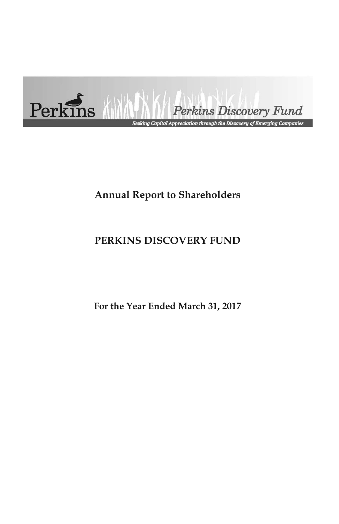

# **Annual Report to Shareholders**

# **PERKINS DISCOVERY FUND**

**For the Year Ended March 31, 2017**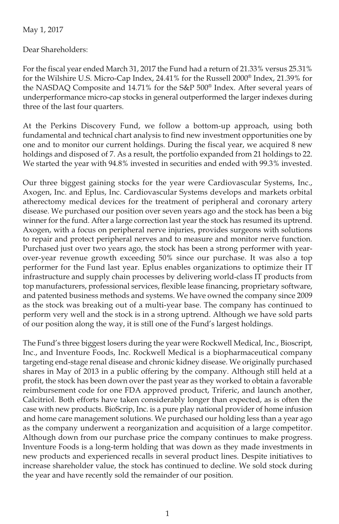May 1, 2017

Dear Shareholders:

For the fiscal year ended March 31, 2017 the Fund had a return of 21.33% versus 25.31% for the Wilshire U.S. Micro-Cap Index, 24.41% for the Russell 2000® Index, 21.39% for the NASDAQ Composite and 14.71% for the S&P 500® Index. After several years of underperformance micro-cap stocks in general outperformed the larger indexes during three of the last four quarters.

At the Perkins Discovery Fund, we follow a bottom-up approach, using both fundamental and technical chart analysis to find new investment opportunities one by one and to monitor our current holdings. During the fiscal year, we acquired 8 new holdings and disposed of 7. As a result, the portfolio expanded from 21 holdings to 22. We started the year with 94.8% invested in securities and ended with 99.3% invested.

Our three biggest gaining stocks for the year were Cardiovascular Systems, Inc., Axogen, Inc. and Eplus, Inc. Cardiovascular Systems develops and markets orbital atherectomy medical devices for the treatment of peripheral and coronary artery disease. We purchased our position over seven years ago and the stock has been a big winner for the fund. After a large correction last year the stock has resumed its uptrend. Axogen, with a focus on peripheral nerve injuries, provides surgeons with solutions to repair and protect peripheral nerves and to measure and monitor nerve function. Purchased just over two years ago, the stock has been a strong performer with yearover-year revenue growth exceeding 50% since our purchase. It was also a top performer for the Fund last year. Eplus enables organizations to optimize their IT infrastructure and supply chain processes by delivering world-class IT products from top manufacturers, professional services, flexible lease financing, proprietary software, and patented business methods and systems. We have owned the company since 2009 as the stock was breaking out of a multi-year base. The company has continued to perform very well and the stock is in a strong uptrend. Although we have sold parts of our position along the way, it is still one of the Fund's largest holdings.

The Fund's three biggest losers during the year were Rockwell Medical, Inc., Bioscript, Inc., and Inventure Foods, Inc. Rockwell Medical is a biopharmaceutical company targeting end-stage renal disease and chronic kidney disease. We originally purchased shares in May of 2013 in a public offering by the company. Although still held at a profit, the stock has been down over the past year as they worked to obtain a favorable reimbursement code for one FDA approved product, Triferic, and launch another, Calcitriol. Both efforts have taken considerably longer than expected, as is often the case with new products. BioScrip, Inc. is a pure play national provider of home infusion and home care management solutions. We purchased our holding less than a year ago as the company underwent a reorganization and acquisition of a large competitor. Although down from our purchase price the company continues to make progress. Inventure Foods is a long-term holding that was down as they made investments in new products and experienced recalls in several product lines. Despite initiatives to increase shareholder value, the stock has continued to decline. We sold stock during the year and have recently sold the remainder of our position.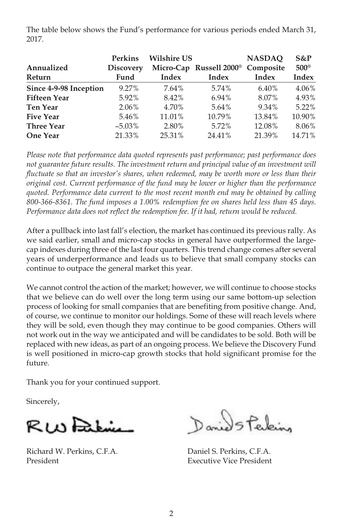The table below shows the Fund's performance for various periods ended March 31, 2017.

|                        | <b>Perkins</b>   | <b>Wilshire US</b> |                                               | <b>NASDAO</b> | $S\&P$        |
|------------------------|------------------|--------------------|-----------------------------------------------|---------------|---------------|
| Annualized             | <b>Discovery</b> |                    | Micro-Cap Russell 2000 <sup>®</sup> Composite |               | $500^{\circ}$ |
| Return                 | Fund             | Index              | Index                                         | Index         | <b>Index</b>  |
| Since 4-9-98 Inception | 9.27%            | 7.64%              | 5.74%                                         | 6.40%         | 4.06%         |
| <b>Fifteen Year</b>    | 5.92%            | 8.42%              | 6.94%                                         | 8.07%         | 4.93%         |
| <b>Ten Year</b>        | 2.06%            | 4.70%              | 5.64%                                         | 9.34%         | 5.22%         |
| <b>Five Year</b>       | 5.46%            | 11.01%             | 10.79%                                        | 13.84%        | 10.90%        |
| <b>Three Year</b>      | $-5.03\%$        | 2.80%              | 5.72%                                         | 12.08%        | 8.06%         |
| <b>One Year</b>        | 21.33%           | 25.31%             | 24.41%                                        | 21.39%        | 14.71%        |

*Please note that performance data quoted represents past performance; past performance does not guarantee future results. The investment return and principal value of an investment will fluctuate so that an investor's shares, when redeemed, may be worth more or less than their original cost. Current performance of the fund may be lower or higher than the performance quoted. Performance data current to the most recent month end may be obtained by calling 800-366-8361. The fund imposes a 1.00% redemption fee on shares held less than 45 days. Performance data does not reflect the redemption fee. If it had, return would be reduced.*

After a pullback into last fall's election, the market has continued its previous rally. As we said earlier, small and micro-cap stocks in general have outperformed the largecap indexes during three of the last four quarters. This trend change comes after several years of underperformance and leads us to believe that small company stocks can continue to outpace the general market this year.

We cannot control the action of the market; however, we will continue to choose stocks that we believe can do well over the long term using our same bottom-up selection process of looking for small companies that are benefiting from positive change. And, of course, we continue to monitor our holdings. Some of these will reach levels where they will be sold, even though they may continue to be good companies. Others will not work out in the way we anticipated and will be candidates to be sold. Both will be replaced with new ideas, as part of an ongoing process. We believe the Discovery Fund is well positioned in micro-cap growth stocks that hold significant promise for the future.

Thank you for your continued support.

Sincerely,

RWFaking

Richard W. Perkins, C.F.A. Daniel S. Perkins, C.F.A. President **Executive Vice President** 

Daniel Staking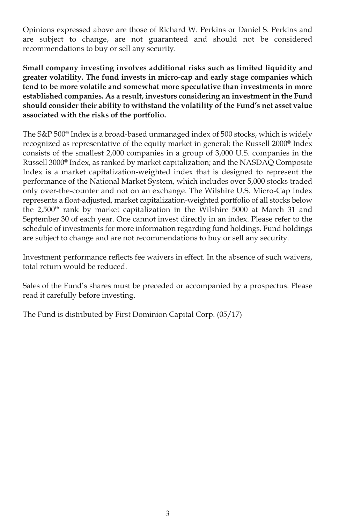Opinions expressed above are those of Richard W. Perkins or Daniel S. Perkins and are subject to change, are not guaranteed and should not be considered recommendations to buy or sell any security.

**Small company investing involves additional risks such as limited liquidity and greater volatility. The fund invests in micro-cap and early stage companies which tend to be more volatile and somewhat more speculative than investments in more established companies. As a result, investors considering an investment in the Fund should consider their ability to withstand the volatility of the Fund's net asset value associated with the risks of the portfolio.**

The S&P 500® Index is a broad-based unmanaged index of 500 stocks, which is widely recognized as representative of the equity market in general; the Russell 2000® Index consists of the smallest 2,000 companies in a group of 3,000 U.S. companies in the Russell 3000® Index, as ranked by market capitalization; and the NASDAQ Composite Index is a market capitalization-weighted index that is designed to represent the performance of the National Market System, which includes over 5,000 stocks traded only over-the-counter and not on an exchange. The Wilshire U.S. Micro-Cap Index represents a float-adjusted, market capitalization-weighted portfolio of all stocks below the 2,500<sup>th</sup> rank by market capitalization in the Wilshire 5000 at March 31 and September 30 of each year. One cannot invest directly in an index. Please refer to the schedule of investments for more information regarding fund holdings. Fund holdings are subject to change and are not recommendations to buy or sell any security.

Investment performance reflects fee waivers in effect. In the absence of such waivers, total return would be reduced.

Sales of the Fund's shares must be preceded or accompanied by a prospectus. Please read it carefully before investing.

The Fund is distributed by First Dominion Capital Corp. (05/17)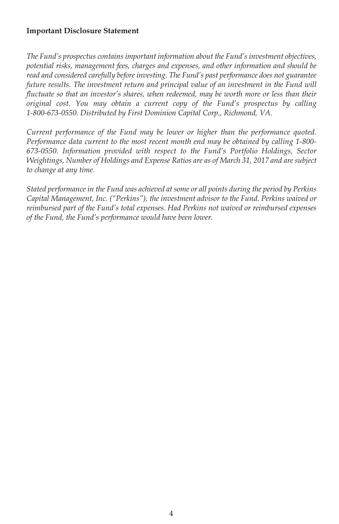## **Important Disclosure Statement**

*The Fund's prospectus contains important information about the Fund's investment objectives, potential risks, management fees, charges and expenses, and other information and should be read and considered carefully before investing. The Fund's past performance does not guarantee future results. The investment return and principal value of an investment in the Fund will fluctuate so that an investor's shares, when redeemed, may be worth more or less than their original cost. You may obtain a current copy of the Fund's prospectus by calling 1-800-673-0550. Distributed by First Dominion Capital Corp., Richmond, VA.*

*Current performance of the Fund may be lower or higher than the performance quoted. Performance data current to the most recent month end may be obtained by calling 1-800- 673-0550. Information provided with respect to the Fund's Portfolio Holdings, Sector Weightings, Number of Holdings and Expense Ratios are as of March 31, 2017 and are subject to change at any time.*

*Stated performance in the Fund was achieved at some or all points during the period by Perkins Capital Management, Inc. ("Perkins"), the investment advisor to the Fund. Perkins waived or reimbursed part of the Fund's total expenses. Had Perkins not waived or reimbursed expenses of the Fund, the Fund's performance would have been lower.*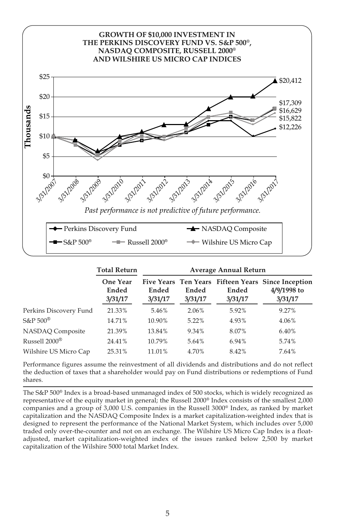

|                           | <b>Total Return</b>                 | Average Annual Return |                  |                  |                                                                              |  |
|---------------------------|-------------------------------------|-----------------------|------------------|------------------|------------------------------------------------------------------------------|--|
|                           | <b>One Year</b><br>Ended<br>3/31/17 | Ended<br>3/31/17      | Ended<br>3/31/17 | Ended<br>3/31/17 | Five Years Ten Years Fifteen Years Since Inception<br>4/9/1998 to<br>3/31/17 |  |
| Perkins Discovery Fund    | 21.33%                              | 5.46%                 | 2.06%            | 5.92%            | 9.27%                                                                        |  |
| $S\&P 500^{\circledR}$    | 14.71%                              | 10.90%                | 5.22%            | 4.93%            | 4.06%                                                                        |  |
| NASDAQ Composite          | 21.39%                              | 13.84%                | 9.34%            | 8.07%            | 6.40%                                                                        |  |
| Russell 2000 <sup>®</sup> | 24.41%                              | 10.79%                | 5.64%            | 6.94%            | 5.74%                                                                        |  |
| Wilshire US Micro Cap     | 25.31%                              | 11.01%                | 4.70%            | 8.42%            | 7.64%                                                                        |  |

Performance figures assume the reinvestment of all dividends and distributions and do not reflect the deduction of taxes that a shareholder would pay on Fund distributions or redemptions of Fund shares.

The S&P 500® Index is a broad-based unmanaged index of 500 stocks, which is widely recognized as representative of the equity market in general; the Russell 2000® Index consists of the smallest 2,000 companies and a group of 3,000 U.S. companies in the Russell  $3000^\circ$  Index, as ranked by market capitalization and the NASDAQ Composite Index is a market capitalization-weighted index that is designed to represent the performance of the National Market System, which includes over 5,000 traded only over-the-counter and not on an exchange. The Wilshire US Micro Cap Index is a floatadjusted, market capitalization-weighted index of the issues ranked below 2,500 by market capitalization of the Wilshire 5000 total Market Index.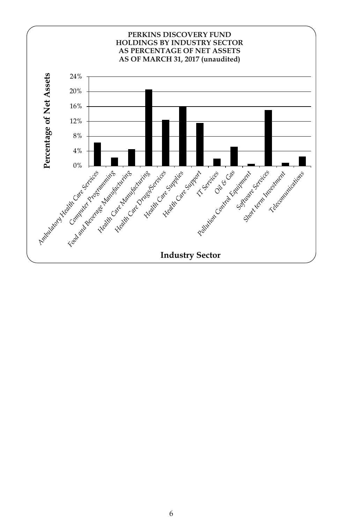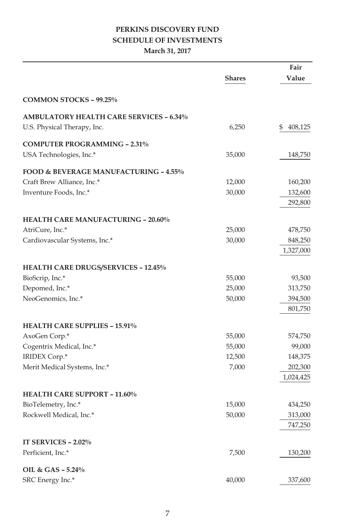## **PERKINS DISCOVERY FUND SCHEDULE OF INVESTMENTS**

## **March 31, 2017**

|                                                  |               | Fair          |
|--------------------------------------------------|---------------|---------------|
|                                                  | <b>Shares</b> | Value         |
| COMMON STOCKS - 99.25%                           |               |               |
| <b>AMBULATORY HEALTH CARE SERVICES - 6.34%</b>   |               |               |
| U.S. Physical Therapy, Inc.                      | 6,250         | \$<br>408,125 |
| <b>COMPUTER PROGRAMMING - 2.31%</b>              |               |               |
| USA Technologies, Inc.*                          | 35,000        | 148,750       |
| <b>FOOD &amp; BEVERAGE MANUFACTURING - 4.55%</b> |               |               |
| Craft Brew Alliance, Inc.*                       | 12,000        | 160,200       |
| Inventure Foods, Inc.*                           | 30,000        | 132,600       |
|                                                  |               | 292,800       |
| <b>HEALTH CARE MANUFACTURING - 20.60%</b>        |               |               |
| AtriCure, Inc.*                                  | 25,000        | 478,750       |
| Cardiovascular Systems, Inc.*                    | 30,000        | 848,250       |
|                                                  |               | 1,327,000     |
| <b>HEALTH CARE DRUGS/SERVICES - 12.45%</b>       |               |               |
| BioScrip, Inc.*                                  | 55,000        | 93,500        |
| Depomed, Inc.*                                   | 25,000        | 313,750       |
| NeoGenomics, Inc.*                               | 50,000        | 394,500       |
|                                                  |               | 801,750       |
| <b>HEALTH CARE SUPPLIES - 15.91%</b>             |               |               |
| AxoGen Corp.*                                    | 55,000        | 574,750       |
| Cogentrix Medical, Inc.*                         | 55,000        | 99,000        |
| IRIDEX Corp.*                                    | 12,500        | 148,375       |
| Merit Medical Systems, Inc.*                     | 7,000         | 202,300       |
|                                                  |               | 1,024,425     |
| <b>HEALTH CARE SUPPORT - 11.60%</b>              |               |               |
| BioTelemetry, Inc.*                              | 15,000        | 434,250       |
| Rockwell Medical, Inc.*                          | 50,000        | 313,000       |
|                                                  |               | 747,250       |
| IT SERVICES - 2.02%                              |               |               |
| Perficient, Inc.*                                | 7,500         | 130,200       |
| OIL & GAS - 5.24%                                |               |               |
| SRC Energy Inc.*                                 | 40,000        | 337,600       |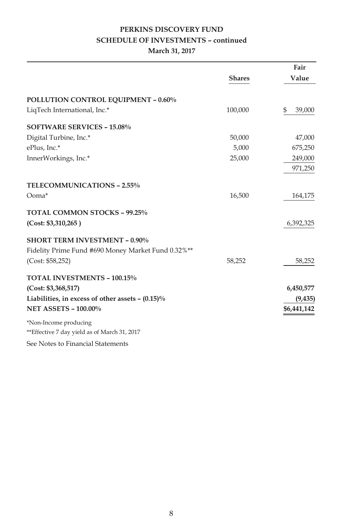## **PERKINS DISCOVERY FUND SCHEDULE OF INVESTMENTS – continued**

## **March 31, 2017**

|                                                     |               | Fair         |
|-----------------------------------------------------|---------------|--------------|
|                                                     | <b>Shares</b> | Value        |
| <b>POLLUTION CONTROL EQUIPMENT - 0.60%</b>          |               |              |
| LiqTech International, Inc.*                        | 100,000       | \$<br>39,000 |
| <b>SOFTWARE SERVICES - 15.08%</b>                   |               |              |
| Digital Turbine, Inc.*                              | 50,000        | 47,000       |
| ePlus, Inc.*                                        | 5,000         | 675,250      |
| InnerWorkings, Inc.*                                | 25,000        | 249,000      |
|                                                     |               | 971,250      |
| <b>TELECOMMUNICATIONS - 2.55%</b>                   |               |              |
| Ooma*                                               | 16,500        | 164,175      |
| TOTAL COMMON STOCKS - 99.25%                        |               |              |
| (Cost: \$3,310,265)                                 |               | 6,392,325    |
| <b>SHORT TERM INVESTMENT - 0.90%</b>                |               |              |
| Fidelity Prime Fund #690 Money Market Fund 0.32%**  |               |              |
| (Cost: \$58,252)                                    | 58,252        | 58,252       |
| TOTAL INVESTMENTS - 100.15%                         |               |              |
| (Cost: \$3,368,517)                                 |               | 6,450,577    |
| Liabilities, in excess of other assets $- (0.15)\%$ |               | (9, 435)     |
| <b>NET ASSETS - 100.00%</b>                         |               | \$6,441,142  |
| *Non-Income producing                               |               |              |
| **Effective 7 day yield as of March 31, 2017        |               |              |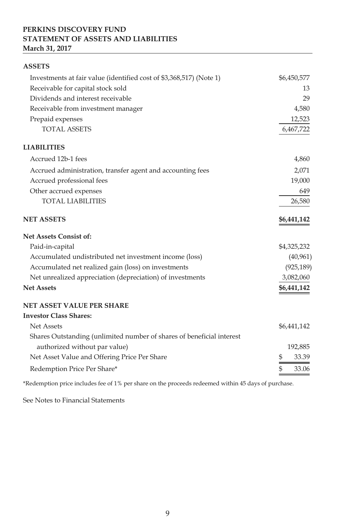## **PERKINS DISCOVERY FUND STATEMENT OF ASSETS AND LIABILITIES March 31, 2017**

| <b>ASSETS</b>                                                         |             |
|-----------------------------------------------------------------------|-------------|
| Investments at fair value (identified cost of \$3,368,517) (Note 1)   | \$6,450,577 |
| Receivable for capital stock sold                                     | 13          |
| Dividends and interest receivable                                     | 29          |
| Receivable from investment manager                                    | 4,580       |
| Prepaid expenses                                                      | 12,523      |
| <b>TOTAL ASSETS</b>                                                   | 6,467,722   |
| <b>LIABILITIES</b>                                                    |             |
| Accrued 12b-1 fees                                                    | 4,860       |
| Accrued administration, transfer agent and accounting fees            | 2,071       |
| Accrued professional fees                                             | 19,000      |
| Other accrued expenses                                                | 649         |
| <b>TOTAL LIABILITIES</b>                                              | 26,580      |
| <b>NET ASSETS</b>                                                     | \$6,441,142 |
| Net Assets Consist of:                                                |             |
| Paid-in-capital                                                       | \$4,325,232 |
| Accumulated undistributed net investment income (loss)                | (40, 961)   |
| Accumulated net realized gain (loss) on investments                   | (925, 189)  |
| Net unrealized appreciation (depreciation) of investments             | 3,082,060   |
| <b>Net Assets</b>                                                     | \$6,441,142 |
| <b>NET ASSET VALUE PER SHARE</b>                                      |             |
| <b>Investor Class Shares:</b>                                         |             |
| Net Assets                                                            | \$6,441,142 |
| Shares Outstanding (unlimited number of shares of beneficial interest |             |
| authorized without par value)                                         | 192,885     |
| Net Asset Value and Offering Price Per Share                          | \$<br>33.39 |
| Redemption Price Per Share*                                           | \$<br>33.06 |

\*Redemption price includes fee of 1% per share on the proceeds redeemed within 45 days of purchase.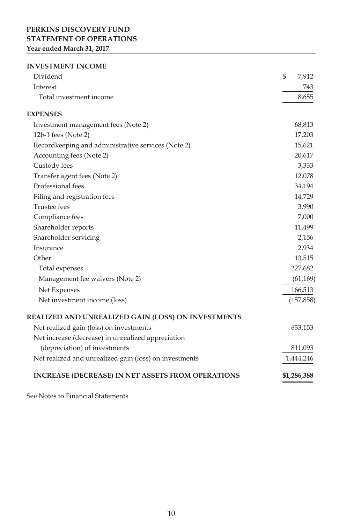## **PERKINS DISCOVERY FUND STATEMENT OF OPERATIONS Year ended March 31, 2017**

#### **INVESTMENT INCOME**

| Dividend                                                 | \$<br>7,912 |
|----------------------------------------------------------|-------------|
| Interest                                                 | 743         |
| Total investment income                                  | 8,655       |
| <b>EXPENSES</b>                                          |             |
| Investment management fees (Note 2)                      | 68,813      |
| 12b-1 fees (Note 2)                                      | 17,203      |
| Recordkeeping and administrative services (Note 2)       | 15,621      |
| Accounting fees (Note 2)                                 | 20,617      |
| Custody fees                                             | 3,333       |
| Transfer agent fees (Note 2)                             | 12,078      |
| Professional fees                                        | 34,194      |
| Filing and registration fees                             | 14,729      |
| <b>Trustee</b> fees                                      | 3,990       |
| Compliance fees                                          | 7,000       |
| Shareholder reports                                      | 11,499      |
| Shareholder servicing                                    | 2,156       |
| Insurance                                                | 2,934       |
| Other                                                    | 13,515      |
| Total expenses                                           | 227,682     |
| Management fee waivers (Note 2)                          | (61, 169)   |
| Net Expenses                                             | 166,513     |
| Net investment income (loss)                             | (157, 858)  |
| REALIZED AND UNREALIZED GAIN (LOSS) ON INVESTMENTS       |             |
| Net realized gain (loss) on investments                  | 633,153     |
| Net increase (decrease) in unrealized appreciation       |             |
| (depreciation) of investments                            | 811,093     |
| Net realized and unrealized gain (loss) on investments   | 1,444,246   |
| <b>INCREASE (DECREASE) IN NET ASSETS FROM OPERATIONS</b> | \$1,286,388 |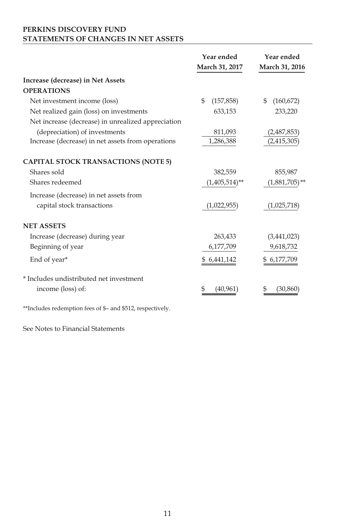## **PERKINS DISCOVERY FUND STATEMENTS OF CHANGES IN NET ASSETS**

|                                                            | Year ended<br>March 31, 2017 | Year ended<br>March 31, 2016 |
|------------------------------------------------------------|------------------------------|------------------------------|
| Increase (decrease) in Net Assets                          |                              |                              |
| <b>OPERATIONS</b>                                          |                              |                              |
| Net investment income (loss)                               | \$<br>(157, 858)             | \$<br>(160, 672)             |
| Net realized gain (loss) on investments                    | 633,153                      | 233,220                      |
| Net increase (decrease) in unrealized appreciation         |                              |                              |
| (depreciation) of investments                              | 811,093                      | (2,487,853)                  |
| Increase (decrease) in net assets from operations          | 1,286,388                    | (2,415,305)                  |
| <b>CAPITAL STOCK TRANSACTIONS (NOTE 5)</b>                 |                              |                              |
| Shares sold                                                | 382,559                      | 855,987                      |
| Shares redeemed                                            | $(1,405,514)$ **             | $(1,881,705)$ **             |
| Increase (decrease) in net assets from                     |                              |                              |
| capital stock transactions                                 | (1,022,955)                  | (1,025,718)                  |
| <b>NET ASSETS</b>                                          |                              |                              |
| Increase (decrease) during year                            | 263,433                      | (3,441,023)                  |
| Beginning of year                                          | 6,177,709                    | 9,618,732                    |
| End of year*                                               | \$6,441,142                  | \$ 6,177,709                 |
| * Includes undistributed net investment                    |                              |                              |
| income (loss) of:                                          | (40, 961)                    | (30, 860)                    |
| **Includes redemption fees of \$- and \$512, respectively. |                              |                              |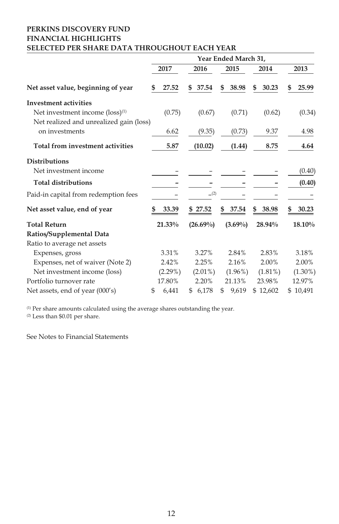## **PERKINS DISCOVERY FUND FINANCIAL HIGHLIGHTS SELECTED PER SHARE DATA THROUGHOUT EACH YEAR**

|                                             |    |            |    |             |    | Year Ended March 31, |             |   |            |
|---------------------------------------------|----|------------|----|-------------|----|----------------------|-------------|---|------------|
|                                             |    | 2017       |    | 2016        |    | 2015                 | 2014        |   | 2013       |
| Net asset value, beginning of year          | S  | 27.52      | \$ | 37.54       | \$ | 38.98                | \$<br>30.23 | S | 25.99      |
| <b>Investment activities</b>                |    |            |    |             |    |                      |             |   |            |
| Net investment income (loss) <sup>(1)</sup> |    | (0.75)     |    | (0.67)      |    | (0.71)               | (0.62)      |   | (0.34)     |
| Net realized and unrealized gain (loss)     |    |            |    |             |    |                      |             |   |            |
| on investments                              |    | 6.62       |    | (9.35)      |    | (0.73)               | 9.37        |   | 4.98       |
| Total from investment activities            |    | 5.87       |    | (10.02)     |    | (1.44)               | 8.75        |   | 4.64       |
| <b>Distributions</b>                        |    |            |    |             |    |                      |             |   |            |
| Net investment income                       |    |            |    |             |    |                      |             |   | (0.40)     |
| <b>Total distributions</b>                  |    |            |    |             |    |                      |             |   | (0.40)     |
| Paid-in capital from redemption fees        |    |            |    | (2)         |    |                      |             |   |            |
| Net asset value, end of year                |    | 33.39      |    | \$27.52     | S  | 37.54                | \$<br>38.98 |   | 30.23      |
| <b>Total Return</b>                         |    | 21.33%     |    | $(26.69\%)$ |    | $(3.69\%)$           | 28.94%      |   | 18.10%     |
| Ratios/Supplemental Data                    |    |            |    |             |    |                      |             |   |            |
| Ratio to average net assets                 |    |            |    |             |    |                      |             |   |            |
| Expenses, gross                             |    | 3.31%      |    | 3.27%       |    | 2.84%                | 2.83%       |   | 3.18%      |
| Expenses, net of waiver (Note 2)            |    | 2.42%      |    | 2.25%       |    | 2.16%                | 2.00%       |   | 2.00%      |
| Net investment income (loss)                |    | $(2.29\%)$ |    | $(2.01\%)$  |    | $(1.96\%)$           | $(1.81\%)$  |   | $(1.30\%)$ |
| Portfolio turnover rate                     |    | 17.80%     |    | 2.20%       |    | 21.13%               | 23.98%      |   | 12.97%     |
| Net assets, end of year (000's)             | \$ | 6,441      | S. | 6,178       | \$ | 9,619                | \$12,602    |   | \$10,491   |

(1) Per share amounts calculated using the average shares outstanding the year.

(2) Less than \$0.01 per share.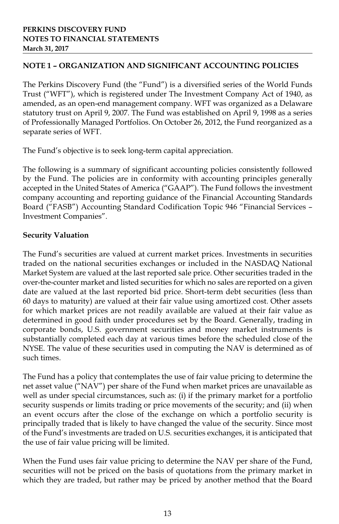## **NOTE 1 – ORGANIZATION AND SIGNIFICANT ACCOUNTING POLICIES**

The Perkins Discovery Fund (the "Fund") is a diversified series of the World Funds Trust ("WFT"), which is registered under The Investment Company Act of 1940, as amended, as an open-end management company. WFT was organized as a Delaware statutory trust on April 9, 2007. The Fund was established on April 9, 1998 as a series of Professionally Managed Portfolios. On October 26, 2012, the Fund reorganized as a separate series of WFT.

The Fund's objective is to seek long-term capital appreciation.

The following is a summary of significant accounting policies consistently followed by the Fund. The policies are in conformity with accounting principles generally accepted in the United States of America ("GAAP"). The Fund follows the investment company accounting and reporting guidance of the Financial Accounting Standards Board ("FASB") Accounting Standard Codification Topic 946 "Financial Services – Investment Companies".

## **Security Valuation**

The Fund's securities are valued at current market prices. Investments in securities traded on the national securities exchanges or included in the NASDAQ National Market System are valued at the last reported sale price. Other securities traded in the over-the-counter market and listed securities for which no sales are reported on a given date are valued at the last reported bid price. Short-term debt securities (less than 60 days to maturity) are valued at their fair value using amortized cost. Other assets for which market prices are not readily available are valued at their fair value as determined in good faith under procedures set by the Board. Generally, trading in corporate bonds, U.S. government securities and money market instruments is substantially completed each day at various times before the scheduled close of the NYSE. The value of these securities used in computing the NAV is determined as of such times.

The Fund has a policy that contemplates the use of fair value pricing to determine the net asset value ("NAV") per share of the Fund when market prices are unavailable as well as under special circumstances, such as: (i) if the primary market for a portfolio security suspends or limits trading or price movements of the security; and (ii) when an event occurs after the close of the exchange on which a portfolio security is principally traded that is likely to have changed the value of the security. Since most of the Fund's investments are traded on U.S. securities exchanges, it is anticipated that the use of fair value pricing will be limited.

When the Fund uses fair value pricing to determine the NAV per share of the Fund, securities will not be priced on the basis of quotations from the primary market in which they are traded, but rather may be priced by another method that the Board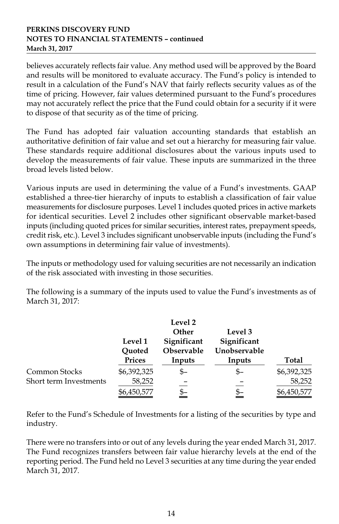believes accurately reflects fair value. Any method used will be approved by the Board and results will be monitored to evaluate accuracy. The Fund's policy is intended to result in a calculation of the Fund's NAV that fairly reflects security values as of the time of pricing. However, fair values determined pursuant to the Fund's procedures may not accurately reflect the price that the Fund could obtain for a security if it were to dispose of that security as of the time of pricing.

The Fund has adopted fair valuation accounting standards that establish an authoritative definition of fair value and set out a hierarchy for measuring fair value. These standards require additional disclosures about the various inputs used to develop the measurements of fair value. These inputs are summarized in the three broad levels listed below.

Various inputs are used in determining the value of a Fund's investments. GAAP established a three-tier hierarchy of inputs to establish a classification of fair value measurements for disclosure purposes. Level 1 includes quoted prices in active markets for identical securities. Level 2 includes other significant observable market-based inputs (including quoted prices for similar securities, interest rates, prepayment speeds, credit risk, etc.). Level 3 includes significant unobservable inputs (including the Fund's own assumptions in determining fair value of investments).

The inputs or methodology used for valuing securities are not necessarily an indication of the risk associated with investing in those securities.

The following is a summary of the inputs used to value the Fund's investments as of March 31, 2017:

|                        | Level 1<br>Ouoted | Level 2<br>Other<br>Significant<br>Observable | Level 3<br>Significant<br>Unobservable |             |
|------------------------|-------------------|-----------------------------------------------|----------------------------------------|-------------|
|                        | Prices            | Inputs                                        | Inputs                                 | Total       |
| Common Stocks          | \$6,392,325       | \$–                                           | \$–                                    | \$6,392,325 |
| Short term Investments | 58,252            |                                               |                                        | 58,252      |
|                        | \$6,450,577       |                                               | \$–                                    | \$6,450,577 |

Refer to the Fund's Schedule of Investments for a listing of the securities by type and industry.

There were no transfers into or out of any levels during the year ended March 31, 2017. The Fund recognizes transfers between fair value hierarchy levels at the end of the reporting period. The Fund held no Level 3 securities at any time during the year ended March 31, 2017.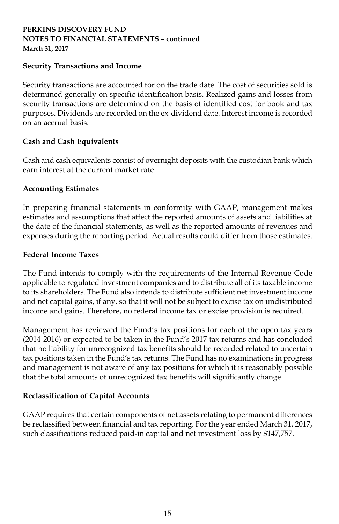## **Security Transactions and Income**

Security transactions are accounted for on the trade date. The cost of securities sold is determined generally on specific identification basis. Realized gains and losses from security transactions are determined on the basis of identified cost for book and tax purposes. Dividends are recorded on the ex-dividend date. Interest income is recorded on an accrual basis.

## **Cash and Cash Equivalents**

Cash and cash equivalents consist of overnight deposits with the custodian bank which earn interest at the current market rate.

### **Accounting Estimates**

In preparing financial statements in conformity with GAAP, management makes estimates and assumptions that affect the reported amounts of assets and liabilities at the date of the financial statements, as well as the reported amounts of revenues and expenses during the reporting period. Actual results could differ from those estimates.

### **Federal Income Taxes**

The Fund intends to comply with the requirements of the Internal Revenue Code applicable to regulated investment companies and to distribute all of its taxable income to its shareholders. The Fund also intends to distribute sufficient net investment income and net capital gains, if any, so that it will not be subject to excise tax on undistributed income and gains. Therefore, no federal income tax or excise provision is required.

Management has reviewed the Fund's tax positions for each of the open tax years (2014-2016) or expected to be taken in the Fund's 2017 tax returns and has concluded that no liability for unrecognized tax benefits should be recorded related to uncertain tax positions taken in the Fund's tax returns. The Fund has no examinations in progress and management is not aware of any tax positions for which it is reasonably possible that the total amounts of unrecognized tax benefits will significantly change.

## **Reclassification of Capital Accounts**

GAAP requires that certain components of net assets relating to permanent differences be reclassified between financial and tax reporting. For the year ended March 31, 2017, such classifications reduced paid-in capital and net investment loss by \$147,757.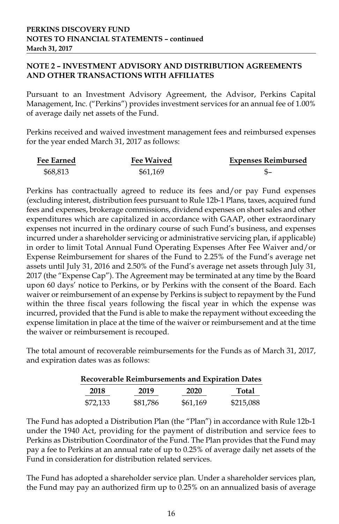## **NOTE 2 – INVESTMENT ADVISORY AND DISTRIBUTION AGREEMENTS AND OTHER TRANSACTIONS WITH AFFILIATES**

Pursuant to an Investment Advisory Agreement, the Advisor, Perkins Capital Management, Inc. ("Perkins") provides investment services for an annual fee of 1.00% of average daily net assets of the Fund.

Perkins received and waived investment management fees and reimbursed expenses for the year ended March 31, 2017 as follows:

| <b>Fee Earned</b> | <b>Fee Waived</b> | <b>Expenses Reimbursed</b> |
|-------------------|-------------------|----------------------------|
| \$68,813          | \$61.169          |                            |

Perkins has contractually agreed to reduce its fees and/or pay Fund expenses (excluding interest, distribution fees pursuant to Rule 12b-1 Plans, taxes, acquired fund fees and expenses, brokerage commissions, dividend expenses on short sales and other expenditures which are capitalized in accordance with GAAP, other extraordinary expenses not incurred in the ordinary course of such Fund's business, and expenses incurred under a shareholder servicing or administrative servicing plan, if applicable) in order to limit Total Annual Fund Operating Expenses After Fee Waiver and/or Expense Reimbursement for shares of the Fund to 2.25% of the Fund's average net assets until July 31, 2016 and 2.50% of the Fund's average net assets through July 31, 2017 (the "Expense Cap"). The Agreement may be terminated at any time by the Board upon 60 days' notice to Perkins, or by Perkins with the consent of the Board. Each waiver or reimbursement of an expense by Perkins is subject to repayment by the Fund within the three fiscal years following the fiscal year in which the expense was incurred, provided that the Fund is able to make the repayment without exceeding the expense limitation in place at the time of the waiver or reimbursement and at the time the waiver or reimbursement is recouped.

The total amount of recoverable reimbursements for the Funds as of March 31, 2017, and expiration dates was as follows:

|          | <b>Recoverable Reimbursements and Expiration Dates</b> |          |           |
|----------|--------------------------------------------------------|----------|-----------|
| 2018     | 2019                                                   | 2020     | Total     |
| \$72.133 | \$81.786                                               | \$61.169 | \$215,088 |

The Fund has adopted a Distribution Plan (the "Plan") in accordance with Rule 12b-1 under the 1940 Act, providing for the payment of distribution and service fees to Perkins as Distribution Coordinator of the Fund. The Plan provides that the Fund may pay a fee to Perkins at an annual rate of up to 0.25% of average daily net assets of the Fund in consideration for distribution related services.

The Fund has adopted a shareholder service plan. Under a shareholder services plan, the Fund may pay an authorized firm up to 0.25% on an annualized basis of average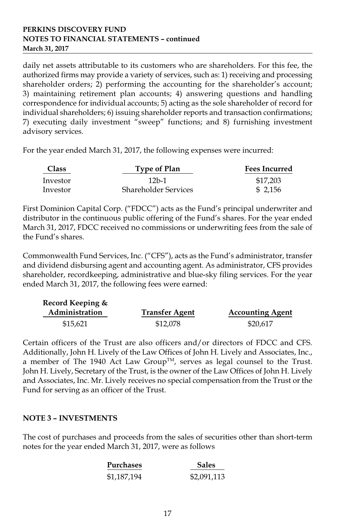daily net assets attributable to its customers who are shareholders. For this fee, the authorized firms may provide a variety of services, such as: 1) receiving and processing shareholder orders; 2) performing the accounting for the shareholder's account; 3) maintaining retirement plan accounts; 4) answering questions and handling correspondence for individual accounts; 5) acting as the sole shareholder of record for individual shareholders; 6) issuing shareholder reports and transaction confirmations; 7) executing daily investment "sweep" functions; and 8) furnishing investment advisory services.

For the year ended March 31, 2017, the following expenses were incurred:

| <b>Class</b><br>Type of Plan |                             | <b>Fees Incurred</b> |
|------------------------------|-----------------------------|----------------------|
| Investor                     | 12b-1                       | \$17,203             |
| Investor                     | <b>Shareholder Services</b> | \$2.156              |

First Dominion Capital Corp. ("FDCC") acts as the Fund's principal underwriter and distributor in the continuous public offering of the Fund's shares. For the year ended March 31, 2017, FDCC received no commissions or underwriting fees from the sale of the Fund's shares.

Commonwealth Fund Services, Inc. ("CFS"), acts as the Fund's administrator, transfer and dividend disbursing agent and accounting agent. As administrator, CFS provides shareholder, recordkeeping, administrative and blue-sky filing services. For the year ended March 31, 2017, the following fees were earned:

| Record Keeping & |                       |                         |
|------------------|-----------------------|-------------------------|
| Administration   | <b>Transfer Agent</b> | <b>Accounting Agent</b> |
| \$15,621         | \$12,078              | \$20,617                |

Certain officers of the Trust are also officers and/or directors of FDCC and CFS. Additionally, John H. Lively of the Law Offices of John H. Lively and Associates, Inc., a member of The 1940 Act Law Group<sup>TM</sup>, serves as legal counsel to the Trust. John H. Lively, Secretary of the Trust, is the owner of the Law Offices of John H. Lively and Associates, Inc. Mr. Lively receives no special compensation from the Trust or the Fund for serving as an officer of the Trust.

## **NOTE 3 – INVESTMENTS**

The cost of purchases and proceeds from the sales of securities other than short-term notes for the year ended March 31, 2017, were as follows

| <b>Purchases</b> | <b>Sales</b> |
|------------------|--------------|
| \$1,187,194      | \$2,091,113  |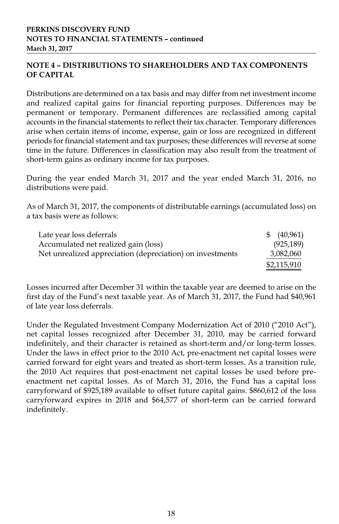## **NOTE 4 – DISTRIBUTIONS TO SHAREHOLDERS AND TAX COMPONENTS OF CAPITAL**

Distributions are determined on a tax basis and may differ from net investment income and realized capital gains for financial reporting purposes. Differences may be permanent or temporary. Permanent differences are reclassified among capital accounts in the financial statements to reflect their tax character. Temporary differences arise when certain items of income, expense, gain or loss are recognized in different periods for financial statement and tax purposes; these differences will reverse at some time in the future. Differences in classification may also result from the treatment of short-term gains as ordinary income for tax purposes.

During the year ended March 31, 2017 and the year ended March 31, 2016, no distributions were paid.

As of March 31, 2017, the components of distributable earnings (accumulated loss) on a tax basis were as follows:

| Late year loss deferrals                                  | $\frac{1}{2}$ (40,961) |
|-----------------------------------------------------------|------------------------|
| Accumulated net realized gain (loss)                      | (925, 189)             |
| Net unrealized appreciation (depreciation) on investments | 3,082,060              |
|                                                           | \$2,115,910            |

Losses incurred after December 31 within the taxable year are deemed to arise on the first day of the Fund's next taxable year. As of March 31, 2017, the Fund had \$40,961 of late year loss deferrals.

Under the Regulated Investment Company Modernization Act of 2010 ("2010 Act"), net capital losses recognized after December 31, 2010, may be carried forward indefinitely, and their character is retained as short-term and/or long-term losses. Under the laws in effect prior to the 2010 Act, pre-enactment net capital losses were carried forward for eight years and treated as short-term losses. As a transition rule, the 2010 Act requires that post-enactment net capital losses be used before preenactment net capital losses. As of March 31, 2016, the Fund has a capital loss carryforward of \$925,189 available to offset future capital gains. \$860,612 of the loss carryforward expires in 2018 and \$64,577 of short-term can be carried forward indefinitely.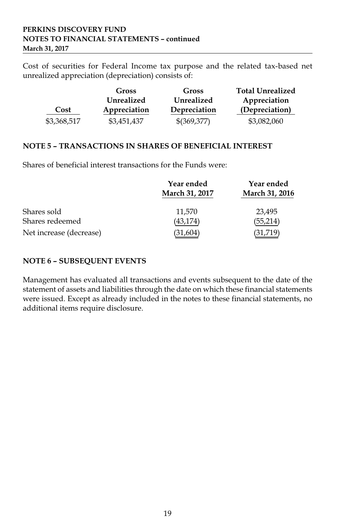Cost of securities for Federal Income tax purpose and the related tax-based net unrealized appreciation (depreciation) consists of:

|             | Gross        | Gross        | <b>Total Unrealized</b> |
|-------------|--------------|--------------|-------------------------|
|             | Unrealized   | Unrealized   | Appreciation            |
| Cost        | Appreciation | Depreciation | (Depreciation)          |
| \$3,368,517 | \$3,451,437  | \$(369,377)  | \$3,082,060             |

## **NOTE 5 – TRANSACTIONS IN SHARES OF BENEFICIAL INTEREST**

Shares of beneficial interest transactions for the Funds were:

|                         | Year ended<br>March 31, 2017 | Year ended<br>March 31, 2016 |
|-------------------------|------------------------------|------------------------------|
| Shares sold             | 11.570                       | 23,495                       |
| Shares redeemed         | (43,174)                     | (55,214)                     |
| Net increase (decrease) | (31,604)                     | (31,719)                     |

## **NOTE 6 – SUBSEQUENT EVENTS**

Management has evaluated all transactions and events subsequent to the date of the statement of assets and liabilities through the date on which these financial statements were issued. Except as already included in the notes to these financial statements, no additional items require disclosure.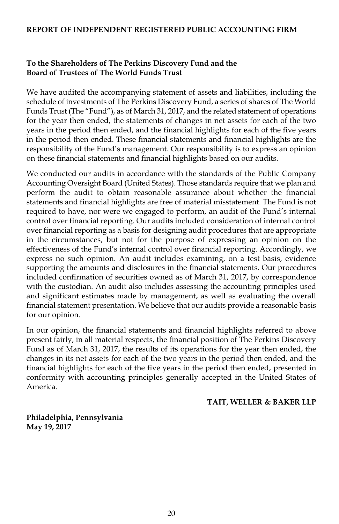#### **REPORT OF INDEPENDENT REGISTERED PUBLIC ACCOUNTING FIRM**

## **To the Shareholders of The Perkins Discovery Fund and the Board of Trustees of The World Funds Trust**

We have audited the accompanying statement of assets and liabilities, including the schedule of investments of The Perkins Discovery Fund, a series of shares of The World Funds Trust (The "Fund"), as of March 31, 2017, and the related statement of operations for the year then ended, the statements of changes in net assets for each of the two years in the period then ended, and the financial highlights for each of the five years in the period then ended. These financial statements and financial highlights are the responsibility of the Fund's management. Our responsibility is to express an opinion on these financial statements and financial highlights based on our audits.

We conducted our audits in accordance with the standards of the Public Company Accounting Oversight Board (United States). Those standards require that we plan and perform the audit to obtain reasonable assurance about whether the financial statements and financial highlights are free of material misstatement. The Fund is not required to have, nor were we engaged to perform, an audit of the Fund's internal control over financial reporting. Our audits included consideration of internal control over financial reporting as a basis for designing audit procedures that are appropriate in the circumstances, but not for the purpose of expressing an opinion on the effectiveness of the Fund's internal control over financial reporting. Accordingly, we express no such opinion. An audit includes examining, on a test basis, evidence supporting the amounts and disclosures in the financial statements. Our procedures included confirmation of securities owned as of March 31, 2017, by correspondence with the custodian. An audit also includes assessing the accounting principles used and significant estimates made by management, as well as evaluating the overall financial statement presentation. We believe that our audits provide a reasonable basis for our opinion.

In our opinion, the financial statements and financial highlights referred to above present fairly, in all material respects, the financial position of The Perkins Discovery Fund as of March 31, 2017, the results of its operations for the year then ended, the changes in its net assets for each of the two years in the period then ended, and the financial highlights for each of the five years in the period then ended, presented in conformity with accounting principles generally accepted in the United States of America.

#### **TAIT, WELLER & BAKER LLP**

**Philadelphia, Pennsylvania May 19, 2017**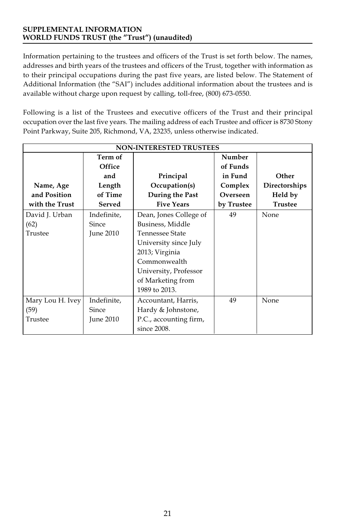Information pertaining to the trustees and officers of the Trust is set forth below. The names, addresses and birth years of the trustees and officers of the Trust, together with information as to their principal occupations during the past five years, are listed below. The Statement of Additional Information (the "SAI") includes additional information about the trustees and is available without charge upon request by calling, toll-free, (800) 673-0550.

Following is a list of the Trustees and executive officers of the Trust and their principal occupation over the last five years. The mailing address of each Trustee and officer is 8730 Stony Point Parkway, Suite 205, Richmond, VA, 23235, unless otherwise indicated.

| <b>NON-INTERESTED TRUSTEES</b> |              |                        |            |                |
|--------------------------------|--------------|------------------------|------------|----------------|
|                                | Term of      |                        | Number     |                |
|                                | Office       |                        | of Funds   |                |
|                                | and          | Principal              | in Fund    | Other          |
| Name, Age                      | Length       | Occupation(s)          | Complex    | Directorships  |
| and Position                   | of Time      | During the Past        | Overseen   | Held by        |
| with the Trust                 | Served       | <b>Five Years</b>      | by Trustee | <b>Trustee</b> |
| David J. Urban                 | Indefinite,  | Dean, Jones College of | 49         | None           |
| (62)                           | Since        | Business, Middle       |            |                |
| Trustee                        | June 2010    | <b>Tennessee State</b> |            |                |
|                                |              | University since July  |            |                |
|                                |              | 2013; Virginia         |            |                |
|                                |              | Commonwealth           |            |                |
|                                |              | University, Professor  |            |                |
|                                |              | of Marketing from      |            |                |
|                                |              | 1989 to 2013.          |            |                |
| Mary Lou H. Ivey               | Indefinite,  | Accountant, Harris,    | 49         | None           |
| (59)                           | <b>Since</b> | Hardy & Johnstone,     |            |                |
| Trustee                        | June 2010    | P.C., accounting firm, |            |                |
|                                |              | since 2008.            |            |                |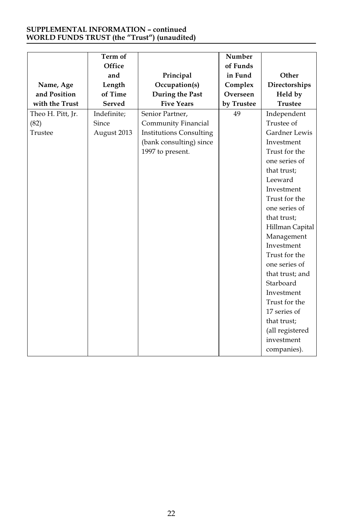|                   | Term of     |                                | <b>Number</b> |                 |
|-------------------|-------------|--------------------------------|---------------|-----------------|
|                   |             |                                |               |                 |
|                   | Office      |                                | of Funds      |                 |
|                   | and         | Principal                      | in Fund       | Other           |
| Name, Age         | Length      | Occupation(s)                  | Complex       | Directorships   |
| and Position      | of Time     | During the Past                | Overseen      | Held by         |
| with the Trust    | Served      | <b>Five Years</b>              | by Trustee    | <b>Trustee</b>  |
| Theo H. Pitt, Jr. | Indefinite; | Senior Partner,                | 49            | Independent     |
| (82)              | Since       | Community Financial            |               | Trustee of      |
| Trustee           | August 2013 | <b>Institutions Consulting</b> |               | Gardner Lewis   |
|                   |             | (bank consulting) since        |               | Investment      |
|                   |             | 1997 to present.               |               | Trust for the   |
|                   |             |                                |               | one series of   |
|                   |             |                                |               | that trust;     |
|                   |             |                                |               | Leeward         |
|                   |             |                                |               | Investment      |
|                   |             |                                |               | Trust for the   |
|                   |             |                                |               | one series of   |
|                   |             |                                |               | that trust;     |
|                   |             |                                |               | Hillman Capital |
|                   |             |                                |               | Management      |
|                   |             |                                |               | Investment      |
|                   |             |                                |               | Trust for the   |
|                   |             |                                |               | one series of   |
|                   |             |                                |               | that trust; and |
|                   |             |                                |               | Starboard       |
|                   |             |                                |               | Investment      |
|                   |             |                                |               | Trust for the   |
|                   |             |                                |               | 17 series of    |
|                   |             |                                |               | that trust;     |
|                   |             |                                |               | (all registered |
|                   |             |                                |               | investment      |
|                   |             |                                |               | companies).     |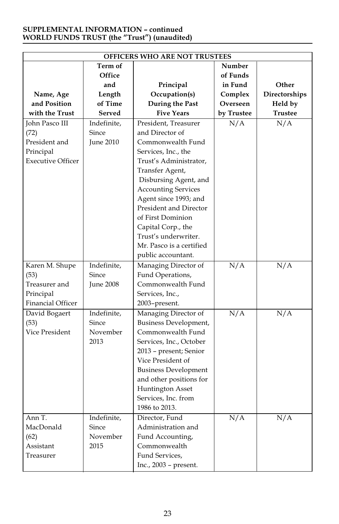| <b>OFFICERS WHO ARE NOT TRUSTEES</b>                                             |                                          |                                                                                                                                                                                                                                                                    |                  |                  |
|----------------------------------------------------------------------------------|------------------------------------------|--------------------------------------------------------------------------------------------------------------------------------------------------------------------------------------------------------------------------------------------------------------------|------------------|------------------|
|                                                                                  | Term of                                  |                                                                                                                                                                                                                                                                    | Number           |                  |
|                                                                                  | Office                                   |                                                                                                                                                                                                                                                                    | of Funds         |                  |
|                                                                                  | and                                      | Principal                                                                                                                                                                                                                                                          | in Fund          | Other            |
| Name, Age                                                                        | Length                                   | Occupation(s)                                                                                                                                                                                                                                                      | Complex          | Directorships    |
| and Position                                                                     | of Time                                  | During the Past                                                                                                                                                                                                                                                    | Overseen         | Held by          |
| with the Trust                                                                   | Served                                   | <b>Five Years</b>                                                                                                                                                                                                                                                  | by Trustee       | <b>Trustee</b>   |
| John Pasco III<br>(72)<br>President and<br>Principal<br><b>Executive Officer</b> | Indefinite,<br>Since<br>June 2010        | President, Treasurer<br>and Director of<br>Commonwealth Fund<br>Services, Inc., the<br>Trust's Administrator,<br>Transfer Agent,<br>Disbursing Agent, and<br><b>Accounting Services</b><br>Agent since 1993; and<br>President and Director<br>of First Dominion    | N/A              | N/A              |
| Karen M. Shupe<br>(53)                                                           | Indefinite,<br>Since                     | Capital Corp., the<br>Trust's underwriter.<br>Mr. Pasco is a certified<br>public accountant.<br>Managing Director of<br>Fund Operations,                                                                                                                           | N/A              | N/A              |
| Treasurer and<br>Principal<br>Financial Officer                                  | <b>June 2008</b>                         | Commonwealth Fund<br>Services, Inc.,<br>2003-present.                                                                                                                                                                                                              |                  |                  |
| David Bogaert<br>(53)<br>Vice President                                          | Indefinite,<br>Since<br>November<br>2013 | Managing Director of<br>Business Development,<br>Commonwealth Fund<br>Services, Inc., October<br>2013 - present; Senior<br>Vice President of<br><b>Business Development</b><br>and other positions for<br>Huntington Asset<br>Services, Inc. from<br>1986 to 2013. | N/A              | N/A              |
| Ann T.<br>MacDonald<br>(62)<br>Assistant<br>Treasurer                            | Indefinite,<br>Since<br>November<br>2015 | Director, Fund<br>Administration and<br>Fund Accounting,<br>Commonwealth<br>Fund Services,<br>Inc., 2003 - present.                                                                                                                                                | $\overline{N/A}$ | $\overline{N/A}$ |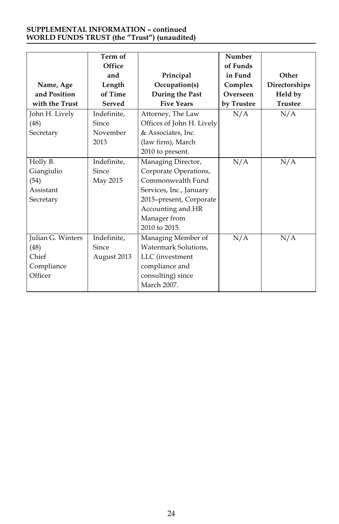| Name, Age<br>and Position<br>with the Trust                 | Term of<br>Office<br>and<br>Length<br>of Time<br>Served | Principal<br>Occupation(s)<br>During the Past<br><b>Five Years</b>                                                                                                          | Number<br>of Funds<br>in Fund<br>Complex<br>Overseen<br>by Trustee | Other<br>Directorships<br>Held by<br><b>Trustee</b> |
|-------------------------------------------------------------|---------------------------------------------------------|-----------------------------------------------------------------------------------------------------------------------------------------------------------------------------|--------------------------------------------------------------------|-----------------------------------------------------|
| John H. Lively<br>(48)<br>Secretary                         | Indefinite,<br>Since<br>November<br>2013                | Attorney, The Law<br>Offices of John H. Lively<br>& Associates, Inc.<br>(law firm), March<br>2010 to present.                                                               | N/A                                                                | N/A                                                 |
| Holly B.<br>Giangiulio<br>(54)<br>Assistant<br>Secretary    | Indefinite,<br>Since<br>May 2015                        | Managing Director,<br>Corporate Operations,<br>Commonwealth Fund<br>Services, Inc., January<br>2015-present, Corporate<br>Accounting and HR<br>Manager from<br>2010 to 2015 | N/A                                                                | N/A                                                 |
| Julian G. Winters<br>(48)<br>Chief<br>Compliance<br>Officer | Indefinite.<br>Since<br>August 2013                     | Managing Member of<br>Watermark Solutions.<br>LLC (investment<br>compliance and<br>consulting) since<br>March 2007.                                                         | N/A                                                                | N/A                                                 |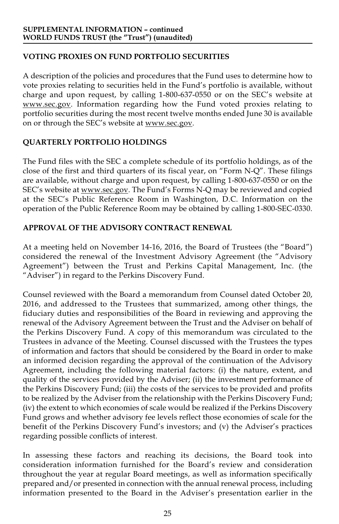## **VOTING PROXIES ON FUND PORTFOLIO SECURITIES**

A description of the policies and procedures that the Fund uses to determine how to vote proxies relating to securities held in the Fund's portfolio is available, without charge and upon request, by calling 1-800-637-0550 or on the SEC's website at www.sec.gov. Information regarding how the Fund voted proxies relating to portfolio securities during the most recent twelve months ended June 30 is available on or through the SEC's website at www.sec.gov.

## **QUARTERLY PORTFOLIO HOLDINGS**

The Fund files with the SEC a complete schedule of its portfolio holdings, as of the close of the first and third quarters of its fiscal year, on "Form N-Q". These filings are available, without charge and upon request, by calling 1-800-637-0550 or on the SEC's website at www.sec.gov. The Fund's Forms N-Q may be reviewed and copied at the SEC's Public Reference Room in Washington, D.C. Information on the operation of the Public Reference Room may be obtained by calling 1-800-SEC-0330.

## **APPROVAL OF THE ADVISORY CONTRACT RENEWAL**

At a meeting held on November 14-16, 2016, the Board of Trustees (the "Board") considered the renewal of the Investment Advisory Agreement (the "Advisory Agreement") between the Trust and Perkins Capital Management, Inc. (the "Adviser") in regard to the Perkins Discovery Fund.

Counsel reviewed with the Board a memorandum from Counsel dated October 20, 2016, and addressed to the Trustees that summarized, among other things, the fiduciary duties and responsibilities of the Board in reviewing and approving the renewal of the Advisory Agreement between the Trust and the Adviser on behalf of the Perkins Discovery Fund. A copy of this memorandum was circulated to the Trustees in advance of the Meeting. Counsel discussed with the Trustees the types of information and factors that should be considered by the Board in order to make an informed decision regarding the approval of the continuation of the Advisory Agreement, including the following material factors: (i) the nature, extent, and quality of the services provided by the Adviser; (ii) the investment performance of the Perkins Discovery Fund; (iii) the costs of the services to be provided and profits to be realized by the Adviser from the relationship with the Perkins Discovery Fund; (iv) the extent to which economies of scale would be realized if the Perkins Discovery Fund grows and whether advisory fee levels reflect those economies of scale for the benefit of the Perkins Discovery Fund's investors; and (v) the Adviser's practices regarding possible conflicts of interest.

In assessing these factors and reaching its decisions, the Board took into consideration information furnished for the Board's review and consideration throughout the year at regular Board meetings, as well as information specifically prepared and/or presented in connection with the annual renewal process, including information presented to the Board in the Adviser's presentation earlier in the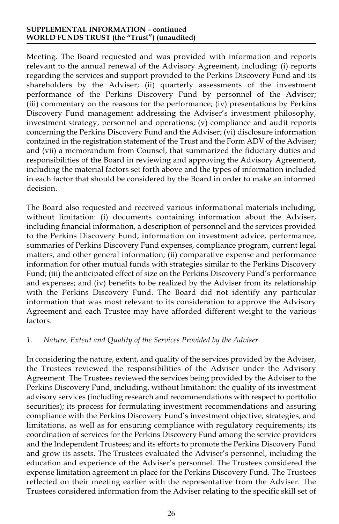Meeting. The Board requested and was provided with information and reports relevant to the annual renewal of the Advisory Agreement, including: (i) reports regarding the services and support provided to the Perkins Discovery Fund and its shareholders by the Adviser; (ii) quarterly assessments of the investment performance of the Perkins Discovery Fund by personnel of the Adviser; (iii) commentary on the reasons for the performance; (iv) presentations by Perkins Discovery Fund management addressing the Adviser's investment philosophy, investment strategy, personnel and operations; (v) compliance and audit reports concerning the Perkins Discovery Fund and the Adviser; (vi) disclosure information contained in the registration statement of the Trust and the Form ADV of the Adviser; and (vii) a memorandum from Counsel, that summarized the fiduciary duties and responsibilities of the Board in reviewing and approving the Advisory Agreement, including the material factors set forth above and the types of information included in each factor that should be considered by the Board in order to make an informed decision.

The Board also requested and received various informational materials including, without limitation: (i) documents containing information about the Adviser, including financial information, a description of personnel and the services provided to the Perkins Discovery Fund, information on investment advice, performance, summaries of Perkins Discovery Fund expenses, compliance program, current legal matters, and other general information; (ii) comparative expense and performance information for other mutual funds with strategies similar to the Perkins Discovery Fund; (iii) the anticipated effect of size on the Perkins Discovery Fund's performance and expenses; and (iv) benefits to be realized by the Adviser from its relationship with the Perkins Discovery Fund. The Board did not identify any particular information that was most relevant to its consideration to approve the Advisory Agreement and each Trustee may have afforded different weight to the various factors.

## *1. Nature, Extent and Quality of the Services Provided by the Adviser.*

In considering the nature, extent, and quality of the services provided by the Adviser, the Trustees reviewed the responsibilities of the Adviser under the Advisory Agreement. The Trustees reviewed the services being provided by the Adviser to the Perkins Discovery Fund, including, without limitation: the quality of its investment advisory services (including research and recommendations with respect to portfolio securities); its process for formulating investment recommendations and assuring compliance with the Perkins Discovery Fund's investment objective, strategies, and limitations, as well as for ensuring compliance with regulatory requirements; its coordination of services for the Perkins Discovery Fund among the service providers and the Independent Trustees; and its efforts to promote the Perkins Discovery Fund and grow its assets. The Trustees evaluated the Adviser's personnel, including the education and experience of the Adviser's personnel. The Trustees considered the expense limitation agreement in place for the Perkins Discovery Fund. The Trustees reflected on their meeting earlier with the representative from the Adviser. The Trustees considered information from the Adviser relating to the specific skill set of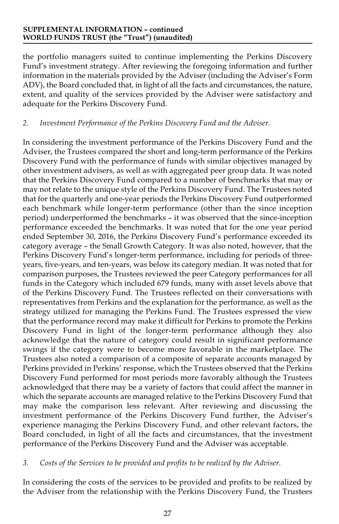the portfolio managers suited to continue implementing the Perkins Discovery Fund's investment strategy. After reviewing the foregoing information and further information in the materials provided by the Adviser (including the Adviser's Form ADV), the Board concluded that, in light of all the facts and circumstances, the nature, extent, and quality of the services provided by the Adviser were satisfactory and adequate for the Perkins Discovery Fund.

## *2. Investment Performance of the Perkins Discovery Fund and the Adviser.*

In considering the investment performance of the Perkins Discovery Fund and the Adviser, the Trustees compared the short and long-term performance of the Perkins Discovery Fund with the performance of funds with similar objectives managed by other investment advisers, as well as with aggregated peer group data. It was noted that the Perkins Discovery Fund compared to a number of benchmarks that may or may not relate to the unique style of the Perkins Discovery Fund. The Trustees noted that for the quarterly and one-year periods the Perkins Discovery Fund outperformed each benchmark while longer-term performance (other than the since inception period) underperformed the benchmarks – it was observed that the since-inception performance exceeded the benchmarks. It was noted that for the one year period ended September 30, 2016, the Perkins Discovery Fund's performance exceeded its category average – the Small Growth Category. It was also noted, however, that the Perkins Discovery Fund's longer-term performance, including for periods of threeyears, five-years, and ten-years, was below its category median. It was noted that for comparison purposes, the Trustees reviewed the peer Category performances for all funds in the Category which included 679 funds, many with asset levels above that of the Perkins Discovery Fund. The Trustees reflected on their conversations with representatives from Perkins and the explanation for the performance, as well as the strategy utilized for managing the Perkins Fund. The Trustees expressed the view that the performance record may make it difficult for Perkins to promote the Perkins Discovery Fund in light of the longer-term performance although they also acknowledge that the nature of category could result in significant performance swings if the category were to become more favorable in the marketplace. The Trustees also noted a comparison of a composite of separate accounts managed by Perkins provided in Perkins' response, which the Trustees observed that the Perkins Discovery Fund performed for most periods more favorably although the Trustees acknowledged that there may be a variety of factors that could affect the manner in which the separate accounts are managed relative to the Perkins Discovery Fund that may make the comparison less relevant. After reviewing and discussing the investment performance of the Perkins Discovery Fund further, the Adviser's experience managing the Perkins Discovery Fund, and other relevant factors, the Board concluded, in light of all the facts and circumstances, that the investment performance of the Perkins Discovery Fund and the Adviser was acceptable.

#### *3. Costs of the Services to be provided and profits to be realized by the Adviser.*

In considering the costs of the services to be provided and profits to be realized by the Adviser from the relationship with the Perkins Discovery Fund, the Trustees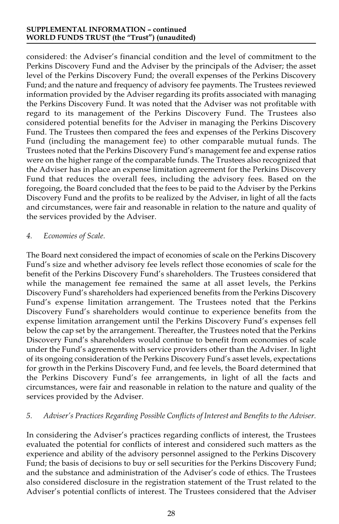considered: the Adviser's financial condition and the level of commitment to the Perkins Discovery Fund and the Adviser by the principals of the Adviser; the asset level of the Perkins Discovery Fund; the overall expenses of the Perkins Discovery Fund; and the nature and frequency of advisory fee payments. The Trustees reviewed information provided by the Adviser regarding its profits associated with managing the Perkins Discovery Fund. It was noted that the Adviser was not profitable with regard to its management of the Perkins Discovery Fund. The Trustees also considered potential benefits for the Adviser in managing the Perkins Discovery Fund. The Trustees then compared the fees and expenses of the Perkins Discovery Fund (including the management fee) to other comparable mutual funds. The Trustees noted that the Perkins Discovery Fund's management fee and expense ratios were on the higher range of the comparable funds. The Trustees also recognized that the Adviser has in place an expense limitation agreement for the Perkins Discovery Fund that reduces the overall fees, including the advisory fees. Based on the foregoing, the Board concluded that the fees to be paid to the Adviser by the Perkins Discovery Fund and the profits to be realized by the Adviser, in light of all the facts and circumstances, were fair and reasonable in relation to the nature and quality of the services provided by the Adviser.

#### *4. Economies of Scale.*

The Board next considered the impact of economies of scale on the Perkins Discovery Fund's size and whether advisory fee levels reflect those economies of scale for the benefit of the Perkins Discovery Fund's shareholders. The Trustees considered that while the management fee remained the same at all asset levels, the Perkins Discovery Fund's shareholders had experienced benefits from the Perkins Discovery Fund's expense limitation arrangement. The Trustees noted that the Perkins Discovery Fund's shareholders would continue to experience benefits from the expense limitation arrangement until the Perkins Discovery Fund's expenses fell below the cap set by the arrangement. Thereafter, the Trustees noted that the Perkins Discovery Fund's shareholders would continue to benefit from economies of scale under the Fund's agreements with service providers other than the Adviser. In light of its ongoing consideration of the Perkins Discovery Fund's asset levels, expectations for growth in the Perkins Discovery Fund, and fee levels, the Board determined that the Perkins Discovery Fund's fee arrangements, in light of all the facts and circumstances, were fair and reasonable in relation to the nature and quality of the services provided by the Adviser.

## *5. Adviser's Practices Regarding Possible Conflicts of Interest and Benefits to the Adviser.*

In considering the Adviser's practices regarding conflicts of interest, the Trustees evaluated the potential for conflicts of interest and considered such matters as the experience and ability of the advisory personnel assigned to the Perkins Discovery Fund; the basis of decisions to buy or sell securities for the Perkins Discovery Fund; and the substance and administration of the Adviser's code of ethics. The Trustees also considered disclosure in the registration statement of the Trust related to the Adviser's potential conflicts of interest. The Trustees considered that the Adviser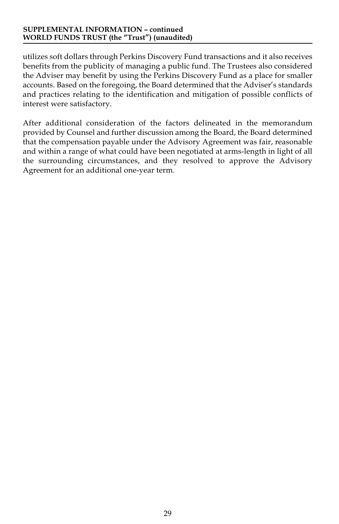utilizes soft dollars through Perkins Discovery Fund transactions and it also receives benefits from the publicity of managing a public fund. The Trustees also considered the Adviser may benefit by using the Perkins Discovery Fund as a place for smaller accounts. Based on the foregoing, the Board determined that the Adviser's standards and practices relating to the identification and mitigation of possible conflicts of interest were satisfactory.

After additional consideration of the factors delineated in the memorandum provided by Counsel and further discussion among the Board, the Board determined that the compensation payable under the Advisory Agreement was fair, reasonable and within a range of what could have been negotiated at arms-length in light of all the surrounding circumstances, and they resolved to approve the Advisory Agreement for an additional one-year term.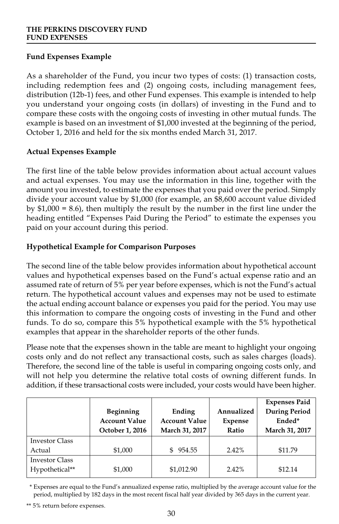## **Fund Expenses Example**

As a shareholder of the Fund, you incur two types of costs: (1) transaction costs, including redemption fees and (2) ongoing costs, including management fees, distribution (12b-1) fees, and other Fund expenses. This example is intended to help you understand your ongoing costs (in dollars) of investing in the Fund and to compare these costs with the ongoing costs of investing in other mutual funds. The example is based on an investment of \$1,000 invested at the beginning of the period, October 1, 2016 and held for the six months ended March 31, 2017.

## **Actual Expenses Example**

The first line of the table below provides information about actual account values and actual expenses. You may use the information in this line, together with the amount you invested, to estimate the expenses that you paid over the period. Simply divide your account value by \$1,000 (for example, an \$8,600 account value divided by \$1,000 = 8.6), then multiply the result by the number in the first line under the heading entitled "Expenses Paid During the Period" to estimate the expenses you paid on your account during this period.

## **Hypothetical Example for Comparison Purposes**

The second line of the table below provides information about hypothetical account values and hypothetical expenses based on the Fund's actual expense ratio and an assumed rate of return of  $5\%$  per year before expenses, which is not the Fund's actual return. The hypothetical account values and expenses may not be used to estimate the actual ending account balance or expenses you paid for the period. You may use this information to compare the ongoing costs of investing in the Fund and other funds. To do so, compare this 5% hypothetical example with the 5% hypothetical examples that appear in the shareholder reports of the other funds.

Please note that the expenses shown in the table are meant to highlight your ongoing costs only and do not reflect any transactional costs, such as sales charges (loads). Therefore, the second line of the table is useful in comparing ongoing costs only, and will not help you determine the relative total costs of owning different funds. In addition, if these transactional costs were included, your costs would have been higher.

|                       | <b>Beginning</b><br><b>Account Value</b><br>October 1, 2016 | Ending<br><b>Account Value</b><br>March 31, 2017 | Annualized<br>Expense<br>Ratio | <b>Expenses Paid</b><br><b>During Period</b><br>Ended*<br>March 31, 2017 |
|-----------------------|-------------------------------------------------------------|--------------------------------------------------|--------------------------------|--------------------------------------------------------------------------|
|                       |                                                             |                                                  |                                |                                                                          |
| <b>Investor Class</b> |                                                             |                                                  |                                |                                                                          |
| Actual                | \$1,000                                                     | 954.55                                           | 2.42%                          | \$11.79                                                                  |
| <b>Investor Class</b> |                                                             |                                                  |                                |                                                                          |
| Hypothetical**        | \$1,000                                                     | \$1,012.90                                       | 2.42%                          | \$12.14                                                                  |

\* Expenses are equal to the Fund's annualized expense ratio, multiplied by the average account value for the period, multiplied by 182 days in the most recent fiscal half year divided by 365 days in the current year.

\*\* 5% return before expenses.